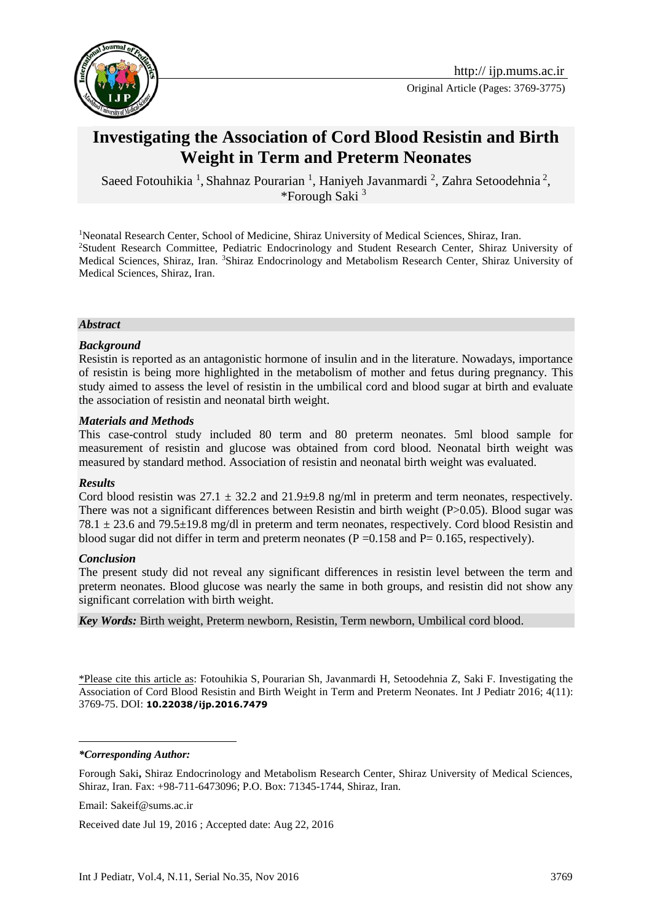

Original Article (Pages: 3769-3775)

# **Investigating the Association of Cord Blood Resistin and Birth Weight in Term and Preterm Neonates**

Saeed Fotouhikia<sup>1</sup>, Shahnaz Pourarian<sup>1</sup>, Haniyeh Javanmardi<sup>2</sup>, Zahra Setoodehnia<sup>2</sup>, \*Forough Saki $<sup>3</sup>$ </sup>

<sup>1</sup>Neonatal Research Center, School of Medicine, Shiraz University of Medical Sciences, Shiraz, Iran. <sup>2</sup>Student Research Committee, Pediatric Endocrinology and Student Research Center, Shiraz University of Medical Sciences, Shiraz, Iran. <sup>3</sup>Shiraz Endocrinology and Metabolism Research Center, Shiraz University of Medical Sciences, Shiraz, Iran.

#### *Abstract*

#### *Background*

Resistin is reported as an antagonistic hormone of insulin and in the literature. Nowadays, importance of resistin is being more highlighted in the metabolism of mother and fetus during pregnancy. This study aimed to assess the level of resistin in the umbilical cord and blood sugar at birth and evaluate the association of resistin and neonatal birth weight.

#### *Materials and Methods*

This case-control study included 80 term and 80 preterm neonates. 5ml blood sample for measurement of resistin and glucose was obtained from cord blood. Neonatal birth weight was measured by standard method. Association of resistin and neonatal birth weight was evaluated.

#### *Results*

Cord blood resistin was  $27.1 \pm 32.2$  and  $21.9 \pm 9.8$  ng/ml in preterm and term neonates, respectively. There was not a significant differences between Resistin and birth weight (P>0.05). Blood sugar was  $78.1 \pm 23.6$  and  $79.5 \pm 19.8$  mg/dl in preterm and term neonates, respectively. Cord blood Resistin and blood sugar did not differ in term and preterm neonates ( $P = 0.158$  and  $P = 0.165$ , respectively).

#### *Conclusion*

The present study did not reveal any significant differences in resistin level between the term and preterm neonates. Blood glucose was nearly the same in both groups, and resistin did not show any significant correlation with birth weight.

*Key Words:* Birth weight, Preterm newborn, Resistin, Term newborn, Umbilical cord blood.

\*Please cite this article as: Fotouhikia S, Pourarian Sh, Javanmardi H, Setoodehnia Z, Saki F. Investigating the Association of Cord Blood Resistin and Birth Weight in Term and Preterm Neonates. Int J Pediatr 2016; 4(11): 3769-75. DOI: **10.22038/ijp.2016.7479**

#### *\*Corresponding Author:*

<u>.</u>

Forough Saki**,** Shiraz Endocrinology and Metabolism Research Center, Shiraz University of Medical Sciences, Shiraz, Iran. Fax: +98-711-6473096; P.O. Box: 71345-1744, Shiraz, Iran.

Email: [Sakeif@sums.ac.ir](mailto:Sakeif@sums.ac.ir)

Received date Jul 19, 2016 ; Accepted date: Aug 22, 2016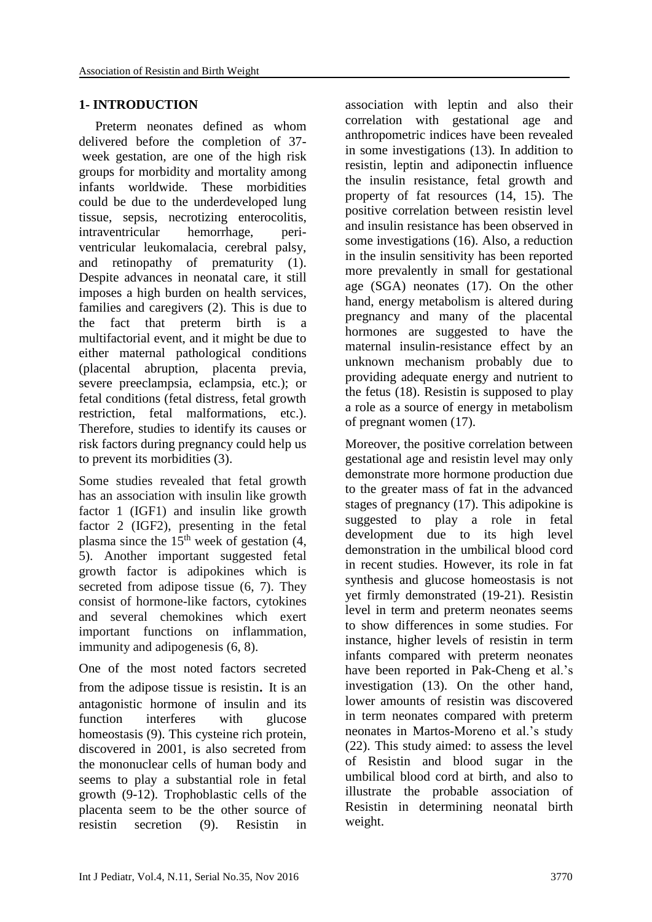# **1- INTRODUCTION**

 Preterm neonates defined as whom delivered before the completion of 37 week gestation, are one of the high risk groups for morbidity and mortality among infants worldwide. These morbidities could be due to the underdeveloped lung tissue, sepsis, necrotizing enterocolitis, intraventricular hemorrhage, periventricular leukomalacia, cerebral palsy, and retinopathy of prematurity (1). Despite advances in neonatal care, it still imposes a high burden on health services, families and caregivers (2). This is due to the fact that preterm birth is a multifactorial event, and it might be due to either maternal pathological conditions (placental abruption, placenta previa, severe preeclampsia, eclampsia, etc.); or fetal conditions (fetal distress, fetal growth restriction, fetal malformations, etc.). Therefore, studies to identify its causes or risk factors during pregnancy could help us to prevent its morbidities (3).

Some studies revealed that fetal growth has an association with insulin like growth factor 1 (IGF1) and insulin like growth factor 2 (IGF2), presenting in the fetal plasma since the  $15<sup>th</sup>$  week of gestation [\(4,](#page-5-0) [5\)](#page-5-1). Another important suggested fetal growth factor is adipokines which is secreted from adipose tissue  $(6, 7)$ . They consist of hormone-like factors, cytokines and several chemokines which exert important functions on inflammation, immunity and adipogenesis [\(6,](#page-5-2) [8\)](#page-5-3).

One of the most noted factors secreted from the adipose tissue is resistin. It is an antagonistic hormone of insulin and its function interferes with glucose homeostasis [\(9\)](#page-5-4). This cysteine rich protein, discovered in 2001, is also secreted from the mononuclear cells of human body and seems to play a substantial role in fetal growth [\(9-12\)](#page-5-4). Trophoblastic cells of the placenta seem to be the other source of resistin secretion [\(9\)](#page-5-4). Resistin in association with leptin and also their correlation with gestational age and anthropometric indices have been revealed in some investigations [\(13\)](#page-5-5). In addition to resistin, leptin and adiponectin influence the insulin resistance, fetal growth and property of fat resources [\(14,](#page-5-6) [15\)](#page-5-7). The positive correlation between resistin level and insulin resistance has been observed in some investigations [\(16\)](#page-5-8). Also, a reduction in the insulin sensitivity has been reported more prevalently in small for gestational age (SGA) neonates [\(17\)](#page-5-9). On the other hand, energy metabolism is altered during pregnancy and many of the placental hormones are suggested to have the maternal insulin-resistance effect by an unknown mechanism probably due to providing adequate energy and nutrient to the fetus [\(18\)](#page-5-10). Resistin is supposed to play a role as a source of energy in metabolism of pregnant women [\(17\)](#page-5-9).

Moreover, the positive correlation between gestational age and resistin level may only demonstrate more hormone production due to the greater mass of fat in the advanced stages of pregnancy [\(17\)](#page-5-9). This adipokine is suggested to play a role in fetal development due to its high level demonstration in the umbilical blood cord in recent studies. However, its role in fat synthesis and glucose homeostasis is not yet firmly demonstrated [\(19-21\)](#page-5-11). Resistin level in term and preterm neonates seems to show differences in some studies. For instance, higher levels of resistin in term infants compared with preterm neonates have been reported in Pak-Cheng et al.'s investigation [\(13\)](#page-5-5). On the other hand, lower amounts of resistin was discovered in term neonates compared with preterm neonates in Martos-Moreno et al.'s study [\(22\)](#page-6-0). This study aimed: to assess the level of Resistin and blood sugar in the umbilical blood cord at birth, and also to illustrate the probable association of Resistin in determining neonatal birth weight.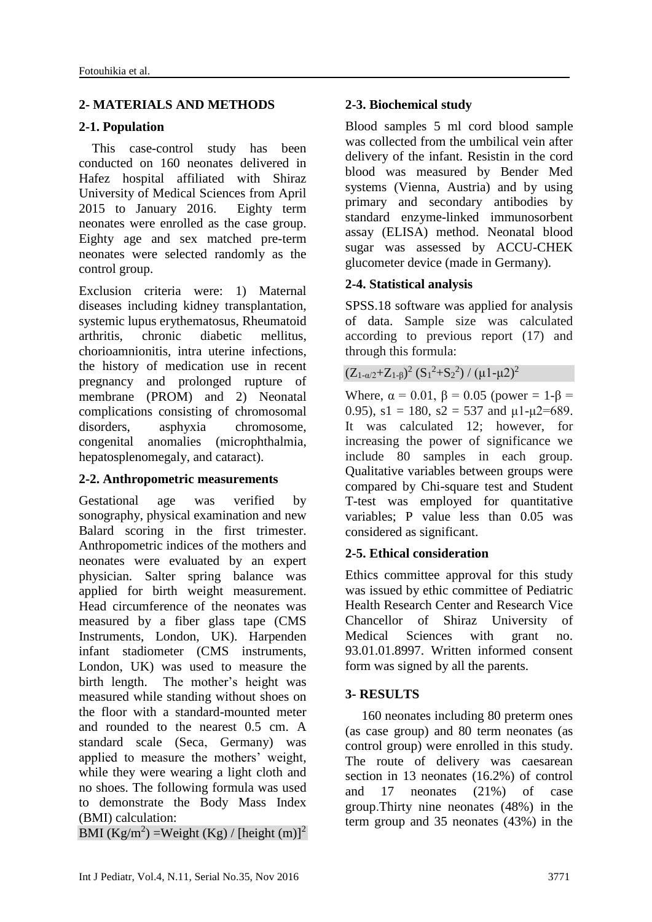#### **2- MATERIALS AND METHODS**

#### **2-1. Population**

 This case-control study has been conducted on 160 neonates delivered in Hafez hospital affiliated with Shiraz University of Medical Sciences from April 2015 to January 2016. Eighty term neonates were enrolled as the case group. Eighty age and sex matched pre-term neonates were selected randomly as the control group.

Exclusion criteria were: 1) Maternal diseases including kidney transplantation, systemic lupus erythematosus, Rheumatoid arthritis, chronic diabetic mellitus, chorioamnionitis, intra uterine infections, the history of medication use in recent pregnancy and prolonged rupture of membrane (PROM) and 2) Neonatal complications consisting of chromosomal disorders, asphyxia chromosome, congenital anomalies (microphthalmia, hepatosplenomegaly, and cataract).

### **2-2. Anthropometric measurements**

Gestational age was verified by sonography, physical examination and new Balard scoring in the first trimester. Anthropometric indices of the mothers and neonates were evaluated by an expert physician. Salter spring balance was applied for birth weight measurement. Head circumference of the neonates was measured by a fiber glass tape (CMS Instruments, London, UK). Harpenden infant stadiometer (CMS instruments, London, UK) was used to measure the birth length. The mother's height was measured while standing without shoes on the floor with a standard-mounted meter and rounded to the nearest 0.5 cm. A standard scale (Seca, Germany) was applied to measure the mothers' weight, while they were wearing a light cloth and no shoes. The following formula was used to demonstrate the Body Mass Index (BMI) calculation:

BMI (Kg/m<sup>2</sup>) =Weight (Kg) / [height (m)]<sup>2</sup>

# **2-3. Biochemical study**

Blood samples 5 ml cord blood sample was collected from the umbilical vein after delivery of the infant. Resistin in the cord blood was measured by Bender Med systems (Vienna, Austria) and by using primary and secondary antibodies by standard enzyme-linked immunosorbent assay (ELISA) method. Neonatal blood sugar was assessed by ACCU-CHEK glucometer device (made in Germany).

# **2-4. Statistical analysis**

SPSS.18 software was applied for analysis of data. Sample size was calculated according to previous report (17) and through this formula:

# $(Z_{1-\alpha/2}+Z_{1-\beta})^2 (S_1^2+S_2^2) / (\mu 1-\mu 2)^2$

Where,  $\alpha = 0.01$ ,  $\beta = 0.05$  (power = 1- $\beta$  = 0.95),  $s1 = 180$ ,  $s2 = 537$  and  $\mu$ 1- $\mu$ 2=689. It was calculated 12; however, for increasing the power of significance we include 80 samples in each group. Qualitative variables between groups were compared by Chi-square test and Student T-test was employed for quantitative variables; P value less than 0.05 was considered as significant.

### **2-5. Ethical consideration**

Ethics committee approval for this study was issued by ethic committee of Pediatric Health Research Center and Research Vice Chancellor of Shiraz University of Medical Sciences with grant no. 93.01.01.8997. Written informed consent form was signed by all the parents.

### **3- RESULTS**

 160 neonates including 80 preterm ones (as case group) and 80 term neonates (as control group) were enrolled in this study. The route of delivery was caesarean section in 13 neonates (16.2%) of control and 17 neonates (21%) of case group.Thirty nine neonates (48%) in the term group and 35 neonates (43%) in the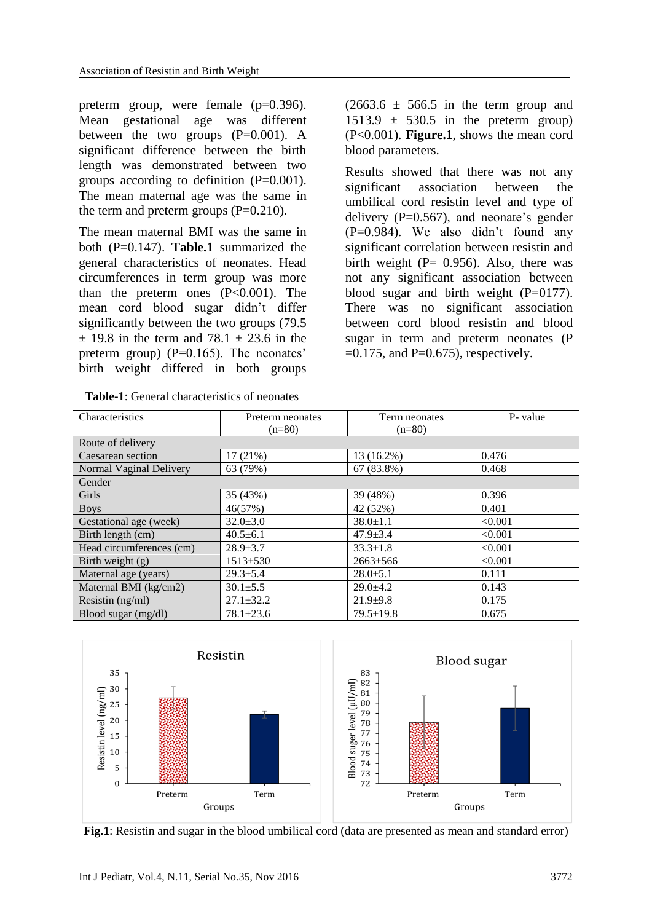preterm group, were female (p=0.396). Mean gestational age was different between the two groups  $(P=0.001)$ . A significant difference between the birth length was demonstrated between two groups according to definition  $(P=0.001)$ . The mean maternal age was the same in the term and preterm groups  $(P=0.210)$ .

The mean maternal BMI was the same in both (P=0.147). **Table.1** summarized the general characteristics of neonates. Head circumferences in term group was more than the preterm ones  $(P<0.001)$ . The mean cord blood sugar didn't differ significantly between the two groups (79.5  $\pm$  19.8 in the term and 78.1  $\pm$  23.6 in the preterm group)  $(P=0.165)$ . The neonates' birth weight differed in both groups

| <b>Table-1:</b> General characteristics of neonates |  |
|-----------------------------------------------------|--|
|-----------------------------------------------------|--|

 $(2663.6 \pm 566.5)$  in the term group and  $1513.9 \pm 530.5$  in the preterm group) (P<0.001). **Figure.1**, shows the mean cord blood parameters.

Results showed that there was not any significant association between the umbilical cord resistin level and type of delivery  $(P=0.567)$ , and neonate's gender (P=0.984). We also didn't found any significant correlation between resistin and birth weight  $(P= 0.956)$ . Also, there was not any significant association between blood sugar and birth weight  $(P=0177)$ . There was no significant association between cord blood resistin and blood sugar in term and preterm neonates (P  $=0.175$ , and P $=0.675$ ), respectively.

| Characteristics          | Preterm neonates | Term neonates   | P- value |
|--------------------------|------------------|-----------------|----------|
|                          | $(n=80)$         | $(n=80)$        |          |
| Route of delivery        |                  |                 |          |
| Caesarean section        | 17(21%)          | 13 (16.2%)      | 0.476    |
| Normal Vaginal Delivery  | 63 (79%)         | 67 (83.8%)      | 0.468    |
| Gender                   |                  |                 |          |
| Girls                    | 35 (43%)         | 39 (48%)        | 0.396    |
| <b>Boys</b>              | 46(57%)          | 42 (52%)        | 0.401    |
| Gestational age (week)   | $32.0 \pm 3.0$   | $38.0 \pm 1.1$  | < 0.001  |
| Birth length (cm)        | $40.5 \pm 6.1$   | $47.9 \pm 3.4$  | < 0.001  |
| Head circumferences (cm) | $28.9 + 3.7$     | $33.3 \pm 1.8$  | < 0.001  |
| Birth weight $(g)$       | $1513 + 530$     | $2663 \pm 566$  | < 0.001  |
| Maternal age (years)     | $29.3 \pm 5.4$   | $28.0 \pm 5.1$  | 0.111    |
| Maternal BMI (kg/cm2)    | $30.1 \pm 5.5$   | $29.0+4.2$      | 0.143    |
| Resistin (ng/ml)         | $27.1 \pm 32.2$  | $21.9 + 9.8$    | 0.175    |
| Blood sugar (mg/dl)      | $78.1 \pm 23.6$  | $79.5 \pm 19.8$ | 0.675    |



**Fig.1**: Resistin and sugar in the blood umbilical cord (data are presented as mean and standard error)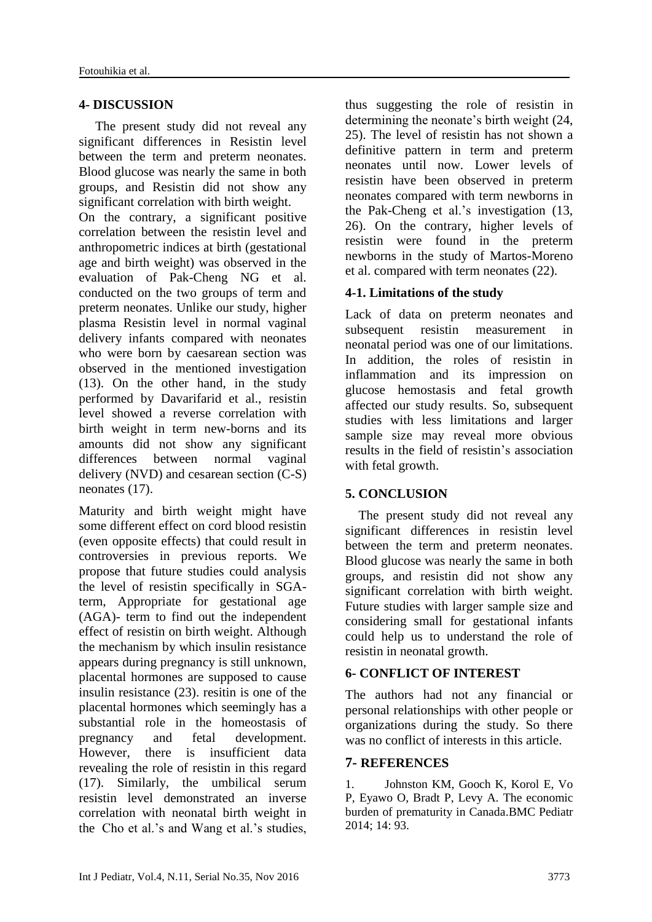#### **4- DISCUSSION**

 The present study did not reveal any significant differences in Resistin level between the term and preterm neonates. Blood glucose was nearly the same in both groups, and Resistin did not show any significant correlation with birth weight.

On the contrary, a significant positive correlation between the resistin level and anthropometric indices at birth (gestational age and birth weight) was observed in the evaluation of Pak-Cheng NG et al. conducted on the two groups of term and preterm neonates. Unlike our study, higher plasma Resistin level in normal vaginal delivery infants compared with neonates who were born by caesarean section was observed in the mentioned investigation [\(13\)](#page-5-5). On the other hand, in the study performed by Davarifarid et al., resistin level showed a reverse correlation with birth weight in term new-borns and its amounts did not show any significant differences between normal vaginal delivery (NVD) and cesarean section (C-S) neonates [\(17\)](#page-5-9).

Maturity and birth weight might have some different effect on cord blood resistin (even opposite effects) that could result in controversies in previous reports. We propose that future studies could analysis the level of resistin specifically in SGAterm, Appropriate for gestational age (AGA)- term to find out the independent effect of resistin on birth weight. Although the mechanism by which insulin resistance appears during pregnancy is still unknown, placental hormones are supposed to cause insulin resistance [\(23\)](#page-6-1). resitin is one of the placental hormones which seemingly has a substantial role in the homeostasis of pregnancy and fetal development. However, there is insufficient data revealing the role of resistin in this regard [\(17\)](#page-5-9). Similarly, the umbilical serum resistin level demonstrated an inverse correlation with neonatal birth weight in the Cho et al.'s and Wang et al.'s studies, thus suggesting the role of resistin in determining the neonate's birth weight [\(24,](#page-6-2) [25\)](#page-6-3). The level of resistin has not shown a definitive pattern in term and preterm neonates until now. Lower levels of resistin have been observed in preterm neonates compared with term newborns in the Pak-Cheng et al.'s investigation [\(13,](#page-5-5) [26\)](#page-6-4). On the contrary, higher levels of resistin were found in the preterm newborns in the study of Martos-Moreno et al. compared with term neonates [\(22\)](#page-6-0).

### **4-1. Limitations of the study**

Lack of data on preterm neonates and subsequent resistin measurement in neonatal period was one of our limitations. In addition, the roles of resistin in inflammation and its impression on glucose hemostasis and fetal growth affected our study results. So, subsequent studies with less limitations and larger sample size may reveal more obvious results in the field of resistin's association with fetal growth.

### **5. CONCLUSION**

 The present study did not reveal any significant differences in resistin level between the term and preterm neonates. Blood glucose was nearly the same in both groups, and resistin did not show any significant correlation with birth weight. Future studies with larger sample size and considering small for gestational infants could help us to understand the role of resistin in neonatal growth.

### **6- CONFLICT OF INTEREST**

The authors had not any financial or personal relationships with other people or organizations during the study. So there was no conflict of interests in this article.

#### **7- REFERENCES**

1. Johnston KM, Gooch K, Korol E, Vo P, Eyawo O, Bradt P, Levy A. The economic burden of prematurity in Canada.BMC Pediatr 2014; 14: 93.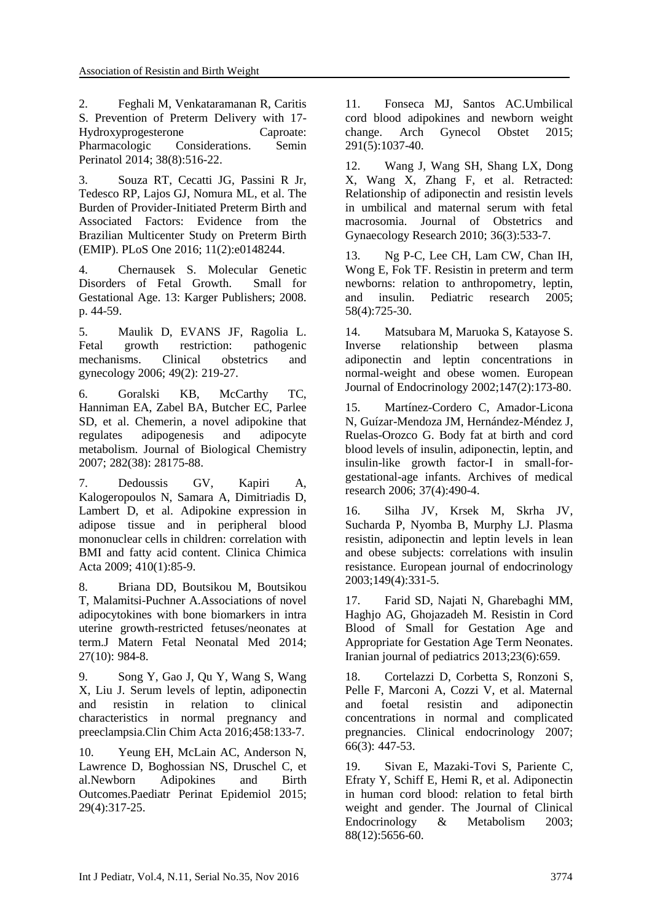2. Feghali M, Venkataramanan R, Caritis S. Prevention of Preterm Delivery with 17- Hydroxyprogesterone Caproate: Pharmacologic Considerations. Semin Perinatol 2014; 38(8):516-22.

3. Souza RT, Cecatti JG, Passini R Jr, Tedesco RP, Lajos GJ, Nomura ML, et al. The Burden of Provider-Initiated Preterm Birth and Associated Factors: Evidence from the Brazilian Multicenter Study on Preterm Birth (EMIP). PLoS One 2016; 11(2):e0148244.

4. Chernausek S. Molecular Genetic Disorders of Fetal Growth. Small for Gestational Age. 13: Karger Publishers; 2008. p. 44-59.

<span id="page-5-1"></span>5. Maulik D, EVANS JF, Ragolia L. Fetal growth restriction: pathogenic mechanisms. Clinical obstetrics and gynecology 2006; 49(2): 219-27.

<span id="page-5-2"></span>6. Goralski KB, McCarthy TC, Hanniman EA, Zabel BA, Butcher EC, Parlee SD, et al. Chemerin, a novel adipokine that regulates adipogenesis and adipocyte metabolism. Journal of Biological Chemistry 2007; 282(38): 28175-88.

7. Dedoussis GV, Kapiri A, Kalogeropoulos N, Samara A, Dimitriadis D, Lambert D, et al. Adipokine expression in adipose tissue and in peripheral blood mononuclear cells in children: correlation with BMI and fatty acid content. Clinica Chimica Acta 2009; 410(1):85-9.

<span id="page-5-4"></span><span id="page-5-3"></span>8. Briana DD, Boutsikou M, Boutsikou T, Malamitsi-Puchner A.Associations of novel adipocytokines with bone biomarkers in intra uterine growth-restricted fetuses/neonates at term.J Matern Fetal Neonatal Med 2014; 27(10): 984-8.

9. Song Y, Gao J, Qu Y, Wang S, Wang X, Liu J. Serum levels of leptin, adiponectin and resistin in relation to clinical characteristics in normal pregnancy and preeclampsia.Clin Chim Acta 2016;458:133-7.

10. Yeung EH, McLain AC, Anderson N, Lawrence D, Boghossian NS, Druschel C, et al.Newborn Adipokines and Birth Outcomes.Paediatr Perinat Epidemiol 2015; 29(4):317-25.

11. Fonseca MJ, Santos AC.Umbilical cord blood adipokines and newborn weight change. Arch Gynecol Obstet 2015; 291(5):1037-40.

12. Wang J, Wang SH, Shang LX, Dong X, Wang X, Zhang F, et al. Retracted: Relationship of adiponectin and resistin levels in umbilical and maternal serum with fetal macrosomia. Journal of Obstetrics and Gynaecology Research 2010; 36(3):533-7.

<span id="page-5-5"></span><span id="page-5-0"></span>13. Ng P-C, Lee CH, Lam CW, Chan IH, Wong E, Fok TF. Resistin in preterm and term newborns: relation to anthropometry, leptin, and insulin. Pediatric research 2005; 58(4):725-30.

<span id="page-5-6"></span>14. Matsubara M, Maruoka S, Katayose S. Inverse relationship between plasma adiponectin and leptin concentrations in normal-weight and obese women. European Journal of Endocrinology 2002;147(2):173-80.

<span id="page-5-7"></span>15. Martínez-Cordero C, Amador-Licona N, Guízar-Mendoza JM, Hernández-Méndez J, Ruelas-Orozco G. Body fat at birth and cord blood levels of insulin, adiponectin, leptin, and insulin-like growth factor-I in small-forgestational-age infants. Archives of medical research 2006; 37(4):490-4.

<span id="page-5-8"></span>16. Silha JV, Krsek M, Skrha JV, Sucharda P, Nyomba B, Murphy LJ. Plasma resistin, adiponectin and leptin levels in lean and obese subjects: correlations with insulin resistance. European journal of endocrinology 2003;149(4):331-5.

<span id="page-5-9"></span>17. Farid SD, Najati N, Gharebaghi MM, Haghjo AG, Ghojazadeh M. Resistin in Cord Blood of Small for Gestation Age and Appropriate for Gestation Age Term Neonates. Iranian journal of pediatrics 2013;23(6):659.

<span id="page-5-10"></span>18. Cortelazzi D, Corbetta S, Ronzoni S, Pelle F, Marconi A, Cozzi V, et al. Maternal and foetal resistin and adiponectin concentrations in normal and complicated pregnancies. Clinical endocrinology 2007; 66(3): 447-53.

<span id="page-5-11"></span>19. Sivan E, Mazaki-Tovi S, Pariente C, Efraty Y, Schiff E, Hemi R, et al. Adiponectin in human cord blood: relation to fetal birth weight and gender. The Journal of Clinical Endocrinology & Metabolism 2003; 88(12):5656-60.